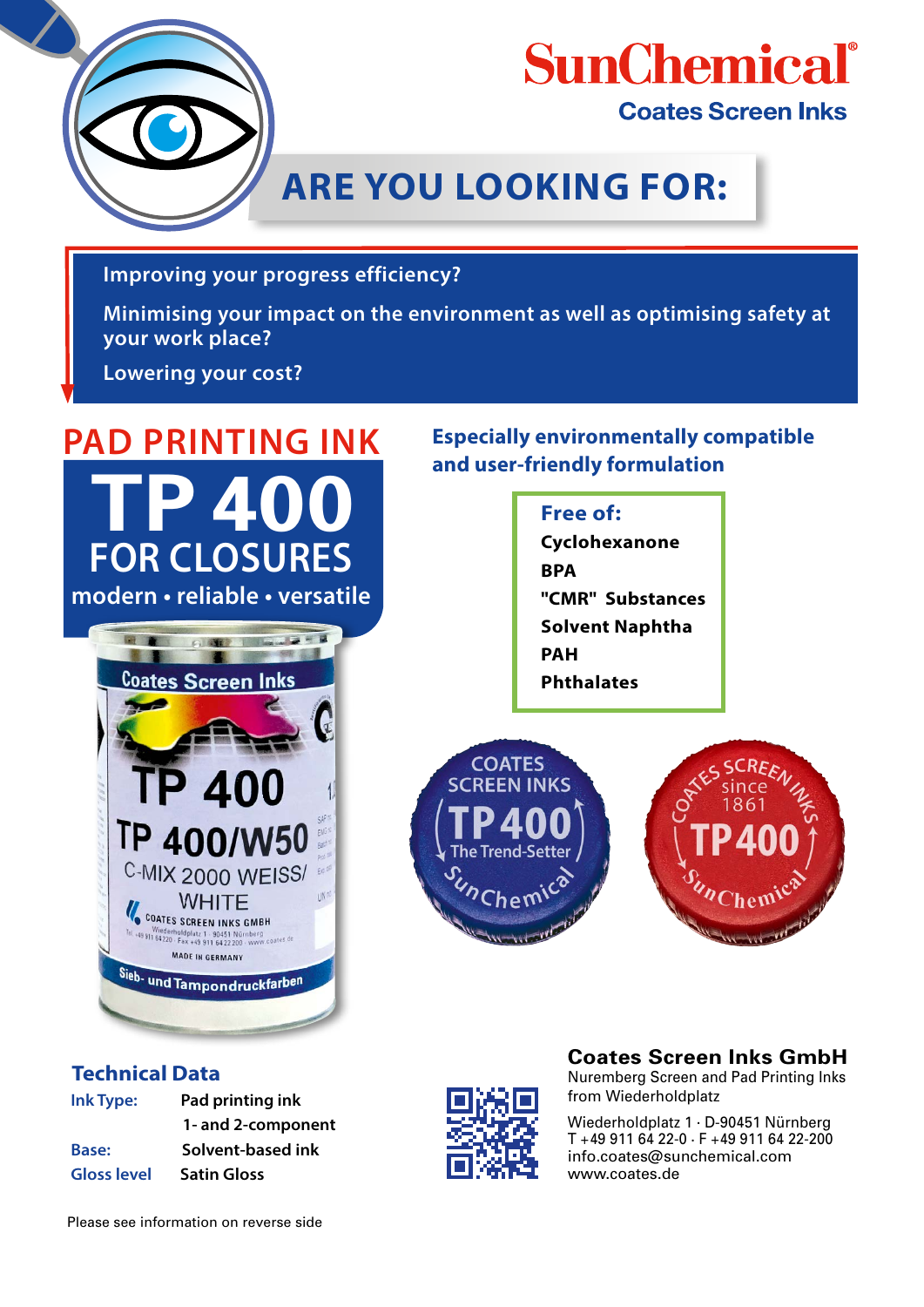

## **SunChemical**<sup>®</sup> **Coates Screen Inks**

## **ARE YOU LOOKING FOR:**

**Improving your progress efficiency?**

**Minimising your impact on the environment as well as optimising safety at your work place?**

**Lowering your cost?**

# **TP 400 FOR CLOSURES modern • reliable • versatile PAD PRINTING INK**



#### **Technical Data**

| Ink Type:          | Pad printing ink   |
|--------------------|--------------------|
|                    | 1- and 2-component |
| Base:              | Solvent-based ink  |
| <b>Gloss level</b> | <b>Satin Gloss</b> |

**Especially environmentally compatible and user-friendly formulation**

## **Free of: Cyclohexanone BPA "CMR" Substances Solvent Naphtha PAH Phthalates**





### **Coates Screen Inks GmbH**

Nuremberg Screen and Pad Printing Inks from Wiederholdplatz

Wiederholdplatz 1 . D-90451 Nürnberg T +49 911 64 22-0 . F +49 911 64 22-200 info.coates@sunchemical.com www.coates.de

Please see information on reverse side